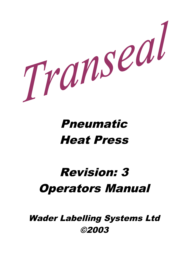

# Pneumatic Heat Press

# Revision: 3 Operators Manual

Wader Labelling Systems Ltd ©2003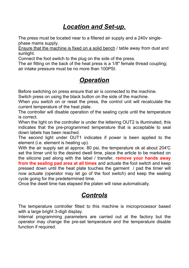## *Location and Set-up.*

The press must be located near to a filtered air supply and a 240v singlephase mains supply.

Ensure that the machine is fixed on a solid bench / table away from dust and sunlight.

Connect the foot switch to the plug on the side of the press.

The air fitting on the back of the heat press is a 1/8" female thread coupling; air intake pressure must be no more than 100PSI.

## *Operation*

Before switching on press ensure that air is connected to the machine.

Switch press on using the black button on the side of the machine.

When you switch on or reset the press, the control unit will recalculate the current temperature of the heat plate.

The controller will disable operation of the sealing cycle until the temperature is correct.

When the light on the controller is under the lettering OUT2 is illuminated, this indicates that the pre-programmed temperature that is acceptable to seal down labels has been reached.

The second light under OUT1 indicates if power is been applied to the element (i.e. element is heating up).

With the air supply set at approx. 80 psi, the temperature ok at about 204'C set the timer unit to the desired dwell time, place the article to be marked on the silicone pad along with the label / transfer, **remove your hands away from the sealing pad area at all times** and actuate the foot switch and keep pressed down until the heat plate touches the garment / pad the timer will now actuate (operator may let go of the foot switch) and keep the sealing cycle going for the predetermined time.

Once the dwell time has elapsed the platen will raise automatically.

### *Controls*

The temperature controller fitted to this machine is microprocessor based with a large bright 3-digit display.

Internal programming parameters are carried out at the factory but the operator may change the pre-set temperature and the temperature disable function if required.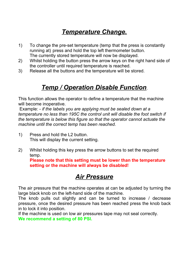# *Temperature Change.*

- 1) To change the pre-set temperature (temp that the press is constantly running at) press and hold the top left thermometer button. The currently stored temperature will now be displayed.
- 2) Whilst holding the button press the arrow keys on the right hand side of the controller until required temperature is reached.
- 3) Release all the buttons and the temperature will be stored.

## *Temp / Operation Disable Function*.

This function allows the operator to define a temperature that the machine will become inoperative.

 Example: - *if the labels you are applying must be sealed down at a temperature no less than 195C the control unit will disable the foot switch if the temperature is below this figure so that the operator cannot actuate the machine until the correct temp has been reached.*

- 1) Press and hold the L2 button. This will display the current setting.
- 2) Whilst holding this key press the arrow buttons to set the required temp.

**Please note that this setting must be lower than the temperature setting or the machine will always be disabled!**

### *Air Pressure*

The air pressure that the machine operates at can be adjusted by turning the large black knob on the left-hand side of the machine.

The knob pulls out slightly and can be turned to increase / decrease pressure, once the desired pressure has been reached press the knob back in to lock it into position.

If the machine is used on low air pressures tape may not seal correctly. **We recommend a setting of 80 PSI.**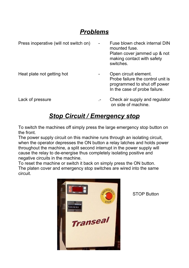## *Problems*

| Press inoperative (will not switch on) | Fuse blown check internal DIN<br>mounted fuse.<br>Platen cover jammed up & not<br>making contact with safety<br>switches.   |
|----------------------------------------|-----------------------------------------------------------------------------------------------------------------------------|
| Heat plate not getting hot             | Open circuit element.<br>Probe failure the control unit is<br>programmed to shut off power<br>In the case of probe failure. |
| Lack of pressure                       | Check air supply and regulator<br>on side of machine.                                                                       |

### *Stop Circuit / Emergency stop*

To switch the machines off simply press the large emergency stop button on the front.

The power supply circuit on this machine runs through an isolating circuit, when the operator depresses the ON button a relay latches and holds power throughout the machine, a split second interrupt in the power supply will cause the relay to de-energise thus completely isolating positive and negative circuits in the machine.

To reset the machine or switch it back on simply press the ON button. The platen cover and emergency stop switches are wired into the same circuit.



STOP Button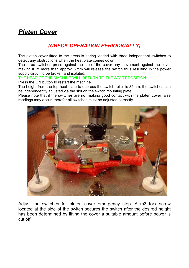## *Platen Cover*

#### *(CHECK OPERATION PERIODICALLY)*

The platen cover fitted to the press is spring loaded with three independent switches to detect any obstructions when the heat plate comes down.

The three switches press against the top of the cover any movement against the cover making it lift more than approx. 2mm will release the switch thus resulting in the power supply circuit to be broken and isolated.

THE HEAD OF THE MACHINE WILL RETURN TO THE START POSITION. Press the ON button to restart the machine.

The height from the top heat plate to depress the switch roller is 35mm; the switches can be independently adjusted via the slot on the switch mounting plate.

Please note that if the switches are not making good contact with the platen cover false readings may occur, therefor all switches must be adjusted correctly.



Adjust the switches for platen cover emergency stop. A m3 torx screw located at the side of the switch secures the switch after the desired height has been determined by lifting the cover a suitable amount before power is cut off.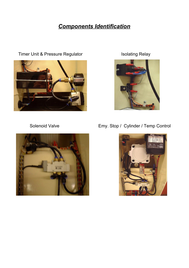#### *Components Identification*



Timer Unit & Pressure Regulator **In the Solution Control Control** Isolating Relay





Solenoid Valve **Emy.** Stop / Cylinder / Temp Control

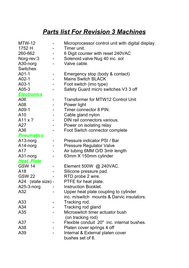# *Parts list For Revision 3 Machines*

| $MTW-12$           |                                                   | Microprocessor control unit with digital display. |
|--------------------|---------------------------------------------------|---------------------------------------------------|
| 1752 H             | $\sim$ 10 $\pm$                                   | Timer unit.                                       |
| 260-662            | $\frac{1}{2}$ and $\frac{1}{2}$ and $\frac{1}{2}$ | 6 Digit counter with reset 240VAC                 |
| Norg-rev:3         |                                                   | Solenoid valve Nug 40 inc. sol                    |
| A30-norg           |                                                   | Valve cable.                                      |
| <b>Switches</b>    |                                                   |                                                   |
| $A01-1$            | $\blacksquare$                                    | Emergency stop (body & contact)                   |
| $A02-1$            | $\sim 100$                                        | <b>Mains Switch BLACK</b>                         |
| $A03-1$            |                                                   | Foot switch (imo type)                            |
| A05-3              |                                                   | Safety Guard micro switches V3 3 off              |
| <b>Electronics</b> |                                                   |                                                   |
| A06                |                                                   | <b>Transformer for MTW12 Control Unit</b>         |
| A08                |                                                   | Power light                                       |
| A09-1              |                                                   | Timer connector 8 PIN.                            |
| A <sub>10</sub>    | $\sim 100$                                        | Cable gland nylon                                 |
| A11 $\times$ ?     | $ -$                                              | DIN rail connectors various.                      |
| A27                |                                                   | Power on isolating relay                          |
| A36                |                                                   | <b>Foot Switch connector complete</b>             |
| <b>Pneumatics</b>  |                                                   |                                                   |
| A13-norg           |                                                   | Pressure indicator PSI / Bar                      |
| $A14-norg$         |                                                   | <b>Pressure Regulator Valve</b>                   |
| A17                | $\frac{1}{2}$ and $\frac{1}{2}$ .                 | Air tubing 6MM O/D 3mtr length                    |
| A31-norg           |                                                   | 63mm X 150mm cylinder                             |
| <b>Heat Plate</b>  |                                                   |                                                   |
| <b>GSW 14</b>      |                                                   | Element 500W @ 240VAC.                            |
| A18                |                                                   | Silicone pressure pad.                            |
| <b>GSW 22</b>      |                                                   | RTD probe 2 wire.                                 |
| A24 (state size) - |                                                   | PTFE for heat plate.                              |
| A25-3-norg         |                                                   | <b>Instruction Booklet.</b>                       |
| A32                |                                                   | Upper heat plate coupling to cylinder             |
|                    |                                                   | inc. m/switch mounts & Darvic insulators.         |
| A33                |                                                   | Tracking rod.                                     |
| A34                |                                                   | Tracking rod gland                                |
| A35                |                                                   | Microswitch timer actuator bush                   |
|                    |                                                   | (on tracking rod)                                 |
|                    |                                                   |                                                   |
| A37                |                                                   | Flexible conduit 20" inc. internal bushes.        |
| A38                |                                                   | Platen cover springs 4 off                        |
| A39                |                                                   | Internal & External platen cover                  |
|                    |                                                   | bushes set of 8.                                  |